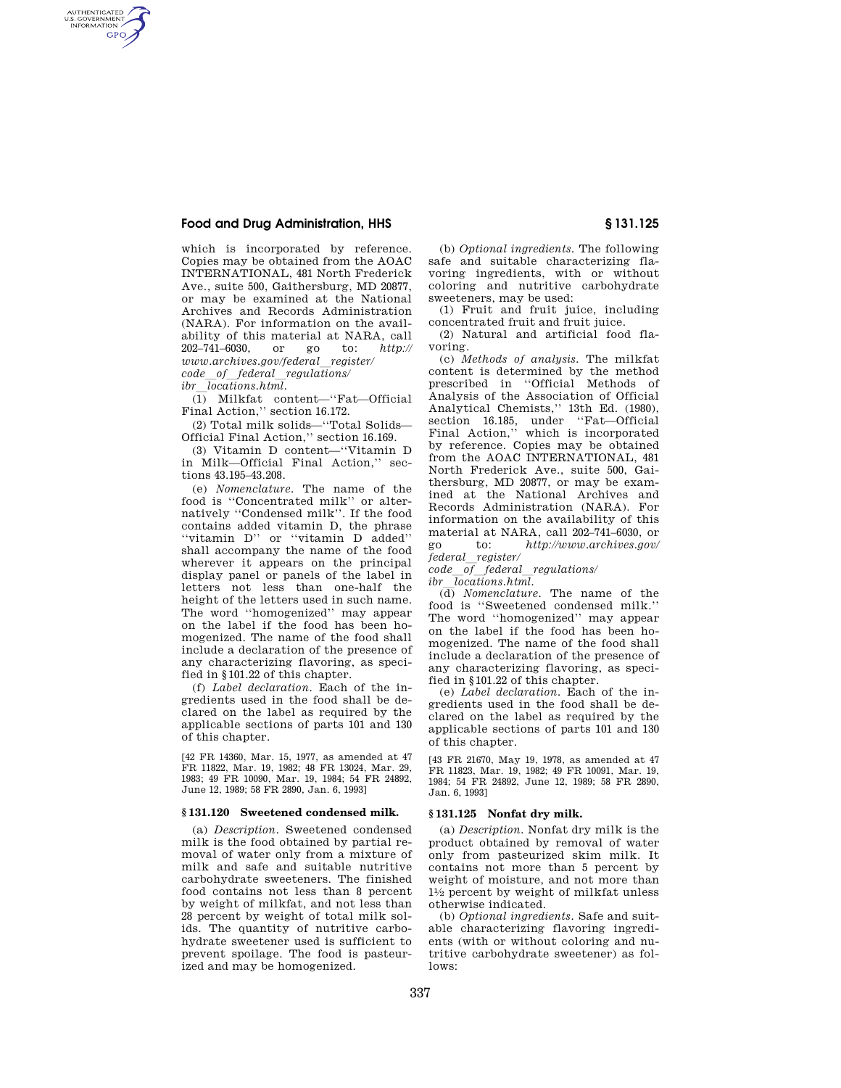# **Food and Drug Administration, HHS § 131.125**

which is incorporated by reference. Copies may be obtained from the AOAC INTERNATIONAL, 481 North Frederick Ave., suite 500, Gaithersburg, MD 20877, or may be examined at the National Archives and Records Administration (NARA). For information on the availability of this material at NARA, call  $202-741-6030$ , or go to:  $http://$ 202–741–6030, or go to: *http:// www.archives.gov/federal*l*register/ code*l*of*l*federal*l*regulations/* 

*ibr locations.html.* 

AUTHENTICATED<br>U.S. GOVERNMENT<br>INFORMATION **GPO** 

> (1) Milkfat content—''Fat—Official Final Action," section 16.172.

> (2) Total milk solids—''Total Solids— Official Final Action,'' section 16.169.

> (3) Vitamin D content—''Vitamin D in Milk—Official Final Action,'' sections 43.195–43.208.

> (e) *Nomenclature.* The name of the food is ''Concentrated milk'' or alternatively ''Condensed milk''. If the food contains added vitamin D, the phrase ''vitamin D'' or ''vitamin D added'' shall accompany the name of the food wherever it appears on the principal display panel or panels of the label in letters not less than one-half the height of the letters used in such name. The word ''homogenized'' may appear on the label if the food has been homogenized. The name of the food shall include a declaration of the presence of any characterizing flavoring, as specified in §101.22 of this chapter.

> (f) *Label declaration.* Each of the ingredients used in the food shall be declared on the label as required by the applicable sections of parts 101 and 130 of this chapter.

> [42 FR 14360, Mar. 15, 1977, as amended at 47 FR 11822, Mar. 19, 1982; 48 FR 13024, Mar. 29, 1983; 49 FR 10090, Mar. 19, 1984; 54 FR 24892, June 12, 1989; 58 FR 2890, Jan. 6, 1993]

### **§ 131.120 Sweetened condensed milk.**

(a) *Description.* Sweetened condensed milk is the food obtained by partial removal of water only from a mixture of milk and safe and suitable nutritive carbohydrate sweeteners. The finished food contains not less than 8 percent by weight of milkfat, and not less than 28 percent by weight of total milk solids. The quantity of nutritive carbohydrate sweetener used is sufficient to prevent spoilage. The food is pasteurized and may be homogenized.

(b) *Optional ingredients.* The following safe and suitable characterizing flavoring ingredients, with or without coloring and nutritive carbohydrate sweeteners, may be used:

(1) Fruit and fruit juice, including concentrated fruit and fruit juice.

(2) Natural and artificial food flavoring.

(c) *Methods of analysis.* The milkfat content is determined by the method prescribed in ''Official Methods of Analysis of the Association of Official Analytical Chemists,'' 13th Ed. (1980), section 16.185, under ''Fat—Official Final Action,'' which is incorporated by reference. Copies may be obtained from the AOAC INTERNATIONAL, 481 North Frederick Ave., suite 500, Gaithersburg, MD 20877, or may be examined at the National Archives and Records Administration (NARA). For information on the availability of this material at NARA, call  $202-741-6030$ , or<br>go to: http://www.archives.gov/ go to: *http://www.archives.gov/ federal*l*register/* 

*code*l*of*l*federal*l*regulations/* 

*ibr*l*locations.html.*  (d) *Nomenclature.* The name of the food is ''Sweetened condensed milk.'' The word ''homogenized'' may appear on the label if the food has been homogenized. The name of the food shall include a declaration of the presence of any characterizing flavoring, as specified in §101.22 of this chapter.

(e) *Label declaration.* Each of the ingredients used in the food shall be declared on the label as required by the applicable sections of parts 101 and 130 of this chapter.

[43 FR 21670, May 19, 1978, as amended at 47 FR 11823, Mar. 19, 1982; 49 FR 10091, Mar. 19, 1984; 54 FR 24892, June 12, 1989; 58 FR 2890, Jan. 6, 1993]

## **§ 131.125 Nonfat dry milk.**

(a) *Description.* Nonfat dry milk is the product obtained by removal of water only from pasteurized skim milk. It contains not more than 5 percent by weight of moisture, and not more than 11⁄2 percent by weight of milkfat unless otherwise indicated.

(b) *Optional ingredients.* Safe and suitable characterizing flavoring ingredients (with or without coloring and nutritive carbohydrate sweetener) as follows: